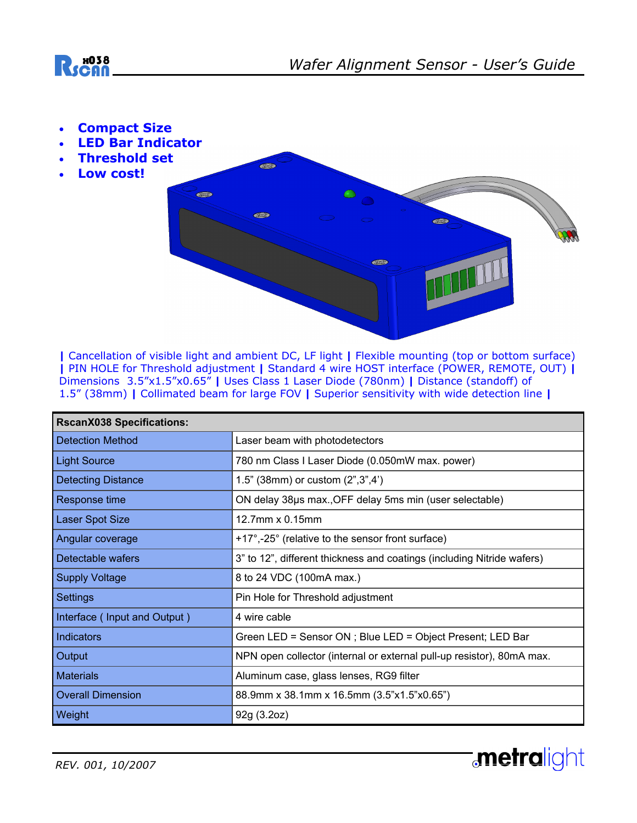

- **Compact Size**
- **LED Bar Indicator**
- **Threshold set**
- **Low cost!**



**|** Cancellation of visible light and ambient DC, LF light **|** Flexible mounting (top or bottom surface) **|** PIN HOLE for Threshold adjustment **|** Standard 4 wire HOST interface (POWER, REMOTE, OUT) **|** Dimensions 3.5"x1.5"x0.65" **|** Uses Class 1 Laser Diode (780nm) **|** Distance (standoff) of 1.5" (38mm) **|** Collimated beam for large FOV **|** Superior sensitivity with wide detection line **|**

| <b>RscanX038 Specifications:</b> |                                                                        |
|----------------------------------|------------------------------------------------------------------------|
| <b>Detection Method</b>          | Laser beam with photodetectors                                         |
| <b>Light Source</b>              | 780 nm Class I Laser Diode (0.050mW max. power)                        |
| <b>Detecting Distance</b>        | 1.5" (38mm) or custom (2", 3", 4")                                     |
| Response time                    | ON delay 38µs max., OFF delay 5ms min (user selectable)                |
| <b>Laser Spot Size</b>           | 12.7mm x 0.15mm                                                        |
| Angular coverage                 | +17°,-25° (relative to the sensor front surface)                       |
| Detectable wafers                | 3" to 12", different thickness and coatings (including Nitride wafers) |
| <b>Supply Voltage</b>            | 8 to 24 VDC (100mA max.)                                               |
| <b>Settings</b>                  | Pin Hole for Threshold adjustment                                      |
| Interface (Input and Output)     | 4 wire cable                                                           |
| <b>Indicators</b>                | Green LED = Sensor ON ; Blue LED = Object Present; LED Bar             |
| Output                           | NPN open collector (internal or external pull-up resistor), 80mA max.  |
| <b>Materials</b>                 | Aluminum case, glass lenses, RG9 filter                                |
| <b>Overall Dimension</b>         | 88.9mm x 38.1mm x 16.5mm (3.5"x1.5"x0.65")                             |
| Weight                           | 92g (3.2oz)                                                            |

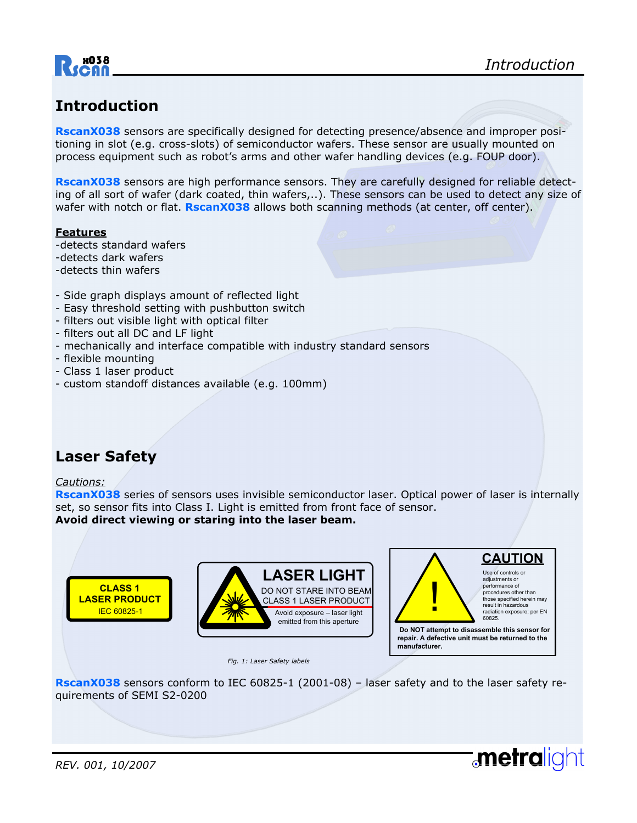

## **Introduction**

**RscanX038** sensors are specifically designed for detecting presence/absence and improper positioning in slot (e.g. cross-slots) of semiconductor wafers. These sensor are usually mounted on process equipment such as robot's arms and other wafer handling devices (e.g. FOUP door).

**RscanX038** sensors are high performance sensors. They are carefully designed for reliable detecting of all sort of wafer (dark coated, thin wafers,..). These sensors can be used to detect any size of wafer with notch or flat. **RscanX038** allows both scanning methods (at center, off center).

#### **Features**

- -detects standard wafers
- -detects dark wafers
- -detects thin wafers
- Side graph displays amount of reflected light
- Easy threshold setting with pushbutton switch
- filters out visible light with optical filter
- filters out all DC and LF light
- mechanically and interface compatible with industry standard sensors
- flexible mounting
- Class 1 laser product
- custom standoff distances available (e.g. 100mm)

### **Laser Safety**

#### *Cautions:*

**RscanX038** series of sensors uses invisible semiconductor laser. Optical power of laser is internally set, so sensor fits into Class I. Light is emitted from front face of sensor. **Avoid direct viewing or staring into the laser beam.** 



*Fig. 1: Laser Safety labels* 



**repair. A defective unit must be returned to the manufacturer.**

**metralight** 

**RscanX038** sensors conform to IEC 60825-1 (2001-08) – laser safety and to the laser safety requirements of SEMI S2-0200

*REV. 001, 10/2007*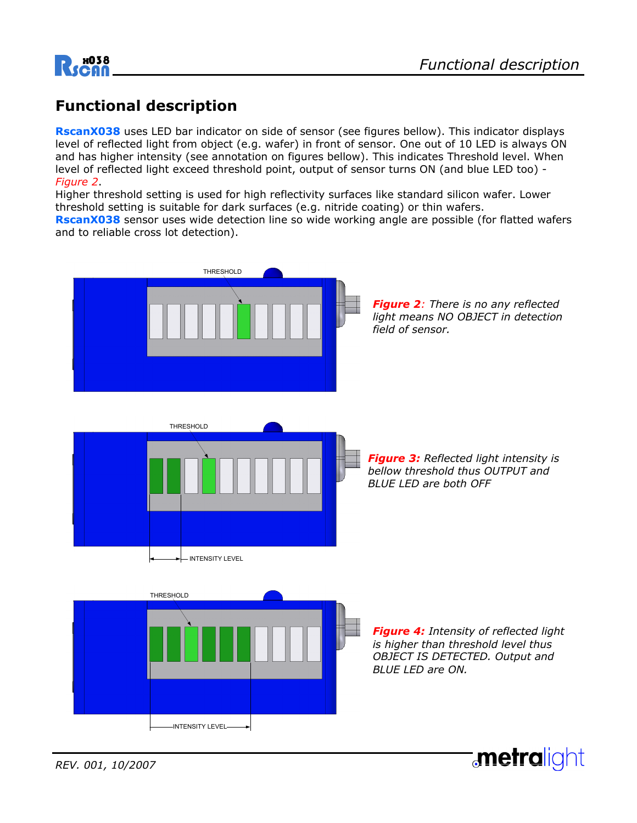

## **Functional description**

**RscanX038** uses LED bar indicator on side of sensor (see figures bellow). This indicator displays level of reflected light from object (e.g. wafer) in front of sensor. One out of 10 LED is always ON and has higher intensity (see annotation on figures bellow). This indicates Threshold level. When level of reflected light exceed threshold point, output of sensor turns ON (and blue LED too) - *Figure 2*.

Higher threshold setting is used for high reflectivity surfaces like standard silicon wafer. Lower threshold setting is suitable for dark surfaces (e.g. nitride coating) or thin wafers.

**RscanX038** sensor uses wide detection line so wide working angle are possible (for flatted wafers and to reliable cross lot detection).



**metralight**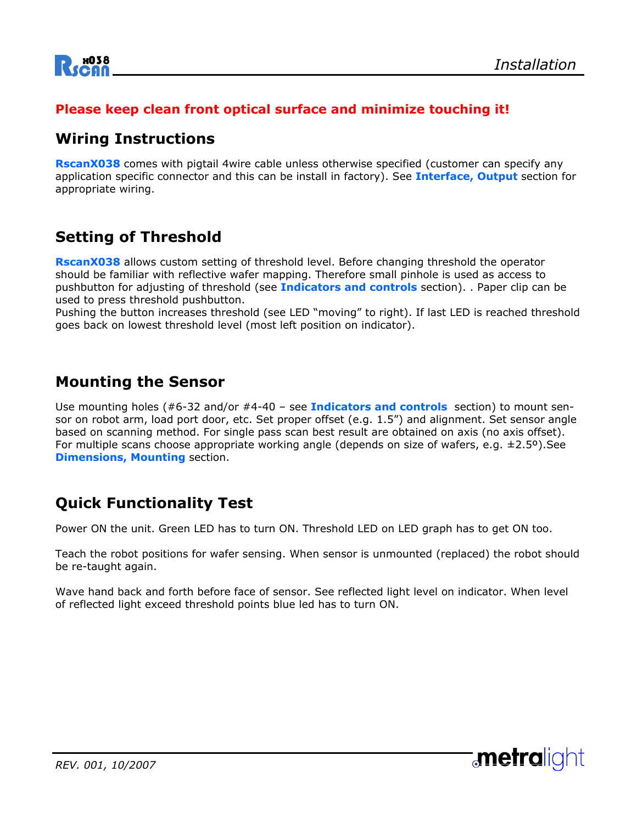

#### **Please keep clean front optical surface and minimize touching it!**

### **Wiring Instructions**

**RscanX038** comes with pigtail 4wire cable unless otherwise specified (customer can specify any application specific connector and this can be install in factory). See **Interface, Output** section for appropriate wiring.

## **Setting of Threshold**

**RscanX038** allows custom setting of threshold level. Before changing threshold the operator should be familiar with reflective wafer mapping. Therefore small pinhole is used as access to pushbutton for adjusting of threshold (see **Indicators and controls** section). . Paper clip can be used to press threshold pushbutton.

Pushing the button increases threshold (see LED "moving" to right). If last LED is reached threshold goes back on lowest threshold level (most left position on indicator).

#### **Mounting the Sensor**

Use mounting holes (#6-32 and/or #4-40 – see **Indicators and controls** section) to mount sensor on robot arm, load port door, etc. Set proper offset (e.g. 1.5") and alignment. Set sensor angle based on scanning method. For single pass scan best result are obtained on axis (no axis offset). For multiple scans choose appropriate working angle (depends on size of wafers, e.g.  $\pm 2.5^{\circ}$ ). See **Dimensions, Mounting** section.

### **Quick Functionality Test**

Power ON the unit. Green LED has to turn ON. Threshold LED on LED graph has to get ON too.

Teach the robot positions for wafer sensing. When sensor is unmounted (replaced) the robot should be re-taught again.

Wave hand back and forth before face of sensor. See reflected light level on indicator. When level of reflected light exceed threshold points blue led has to turn ON.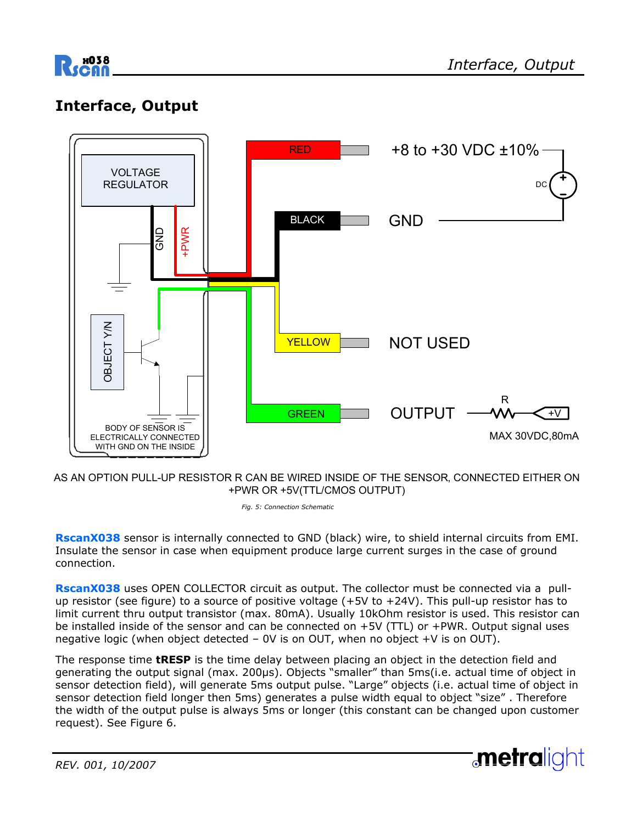

## **Interface, Output**



AS AN OPTION PULL-UP RESISTOR R CAN BE WIRED INSIDE OF THE SENSOR, CONNECTED EITHER ON +PWR OR +5V(TTL/CMOS OUTPUT)

*Fig. 5: Connection Schematic* 

**RscanX038** sensor is internally connected to GND (black) wire, to shield internal circuits from EMI. Insulate the sensor in case when equipment produce large current surges in the case of ground connection.

RscanX038 uses OPEN COLLECTOR circuit as output. The collector must be connected via a pullup resistor (see figure) to a source of positive voltage (+5V to +24V). This pull-up resistor has to limit current thru output transistor (max. 80mA). Usually 10kOhm resistor is used. This resistor can be installed inside of the sensor and can be connected on +5V (TTL) or +PWR. Output signal uses negative logic (when object detected  $-$  0V is on OUT, when no object  $+V$  is on OUT).

The response time **tRESP** is the time delay between placing an object in the detection field and generating the output signal (max. 200µs). Objects "smaller" than 5ms(i.e. actual time of object in sensor detection field), will generate 5ms output pulse. "Large" objects (i.e. actual time of object in sensor detection field longer then 5ms) generates a pulse width equal to object "size" . Therefore the width of the output pulse is always 5ms or longer (this constant can be changed upon customer request). See Figure 6.

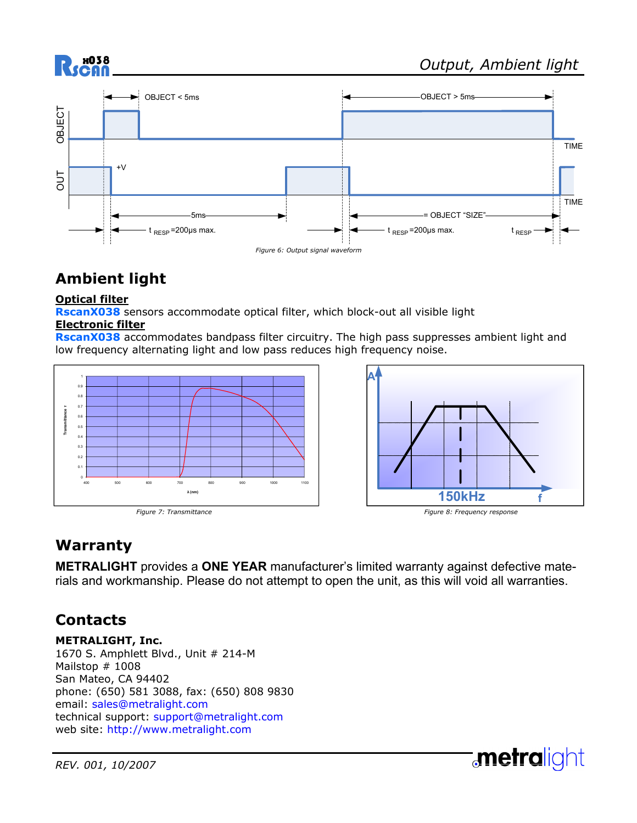

# **Ambient light**

#### **Optical filter**

**RscanX038** sensors accommodate optical filter, which block-out all visible light **Electronic filter**

**RscanX038** accommodates bandpass filter circuitry. The high pass suppresses ambient light and low frequency alternating light and low pass reduces high frequency noise.





# **Warranty**

**METRALIGHT** provides a **ONE YEAR** manufacturer's limited warranty against defective materials and workmanship. Please do not attempt to open the unit, as this will void all warranties.

# **Contacts**

**METRALIGHT, Inc.**  1670 S. Amphlett Blvd., Unit # 214-M Mailstop # 1008 San Mateo, CA 94402 phone: (650) 581 3088, fax: (650) 808 9830 email: sales@metralight.com technical support: support@metralight.com web site: http://www.metralight.com

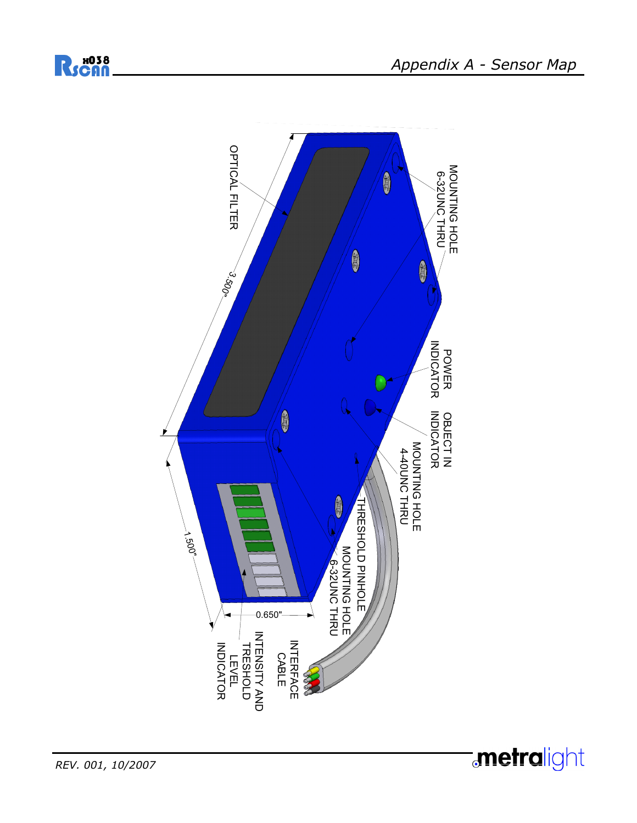